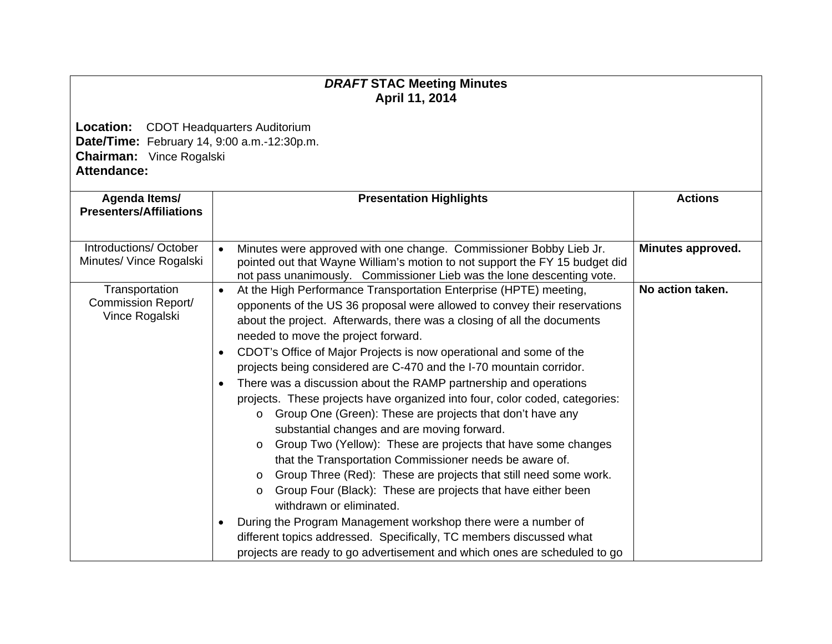## *DRAFT* **STAC Meeting Minutes April 11, 2014**

**Location:** CDOT Headquarters Auditorium **Date/Time:** February 14, 9:00 a.m.-12:30p.m. **Chairman:** Vince Rogalski **Attendance:** 

| Agenda Items/<br><b>Presenters/Affiliations</b>        | <b>Presentation Highlights</b>                                                                                                                                                                                                                                                                                                                                                                                                                                                                                                                                                                                                                                                                                                                                                                                                                                                                                                                                                                                                                                                                                                                                                                                                                                                   | <b>Actions</b>    |
|--------------------------------------------------------|----------------------------------------------------------------------------------------------------------------------------------------------------------------------------------------------------------------------------------------------------------------------------------------------------------------------------------------------------------------------------------------------------------------------------------------------------------------------------------------------------------------------------------------------------------------------------------------------------------------------------------------------------------------------------------------------------------------------------------------------------------------------------------------------------------------------------------------------------------------------------------------------------------------------------------------------------------------------------------------------------------------------------------------------------------------------------------------------------------------------------------------------------------------------------------------------------------------------------------------------------------------------------------|-------------------|
| Introductions/October<br>Minutes/ Vince Rogalski       | Minutes were approved with one change. Commissioner Bobby Lieb Jr.<br>$\bullet$<br>pointed out that Wayne William's motion to not support the FY 15 budget did<br>not pass unanimously. Commissioner Lieb was the lone descenting vote.                                                                                                                                                                                                                                                                                                                                                                                                                                                                                                                                                                                                                                                                                                                                                                                                                                                                                                                                                                                                                                          | Minutes approved. |
| Transportation<br>Commission Report/<br>Vince Rogalski | At the High Performance Transportation Enterprise (HPTE) meeting,<br>$\bullet$<br>opponents of the US 36 proposal were allowed to convey their reservations<br>about the project. Afterwards, there was a closing of all the documents<br>needed to move the project forward.<br>CDOT's Office of Major Projects is now operational and some of the<br>$\bullet$<br>projects being considered are C-470 and the I-70 mountain corridor.<br>There was a discussion about the RAMP partnership and operations<br>$\bullet$<br>projects. These projects have organized into four, color coded, categories:<br>Group One (Green): These are projects that don't have any<br>$\circ$<br>substantial changes and are moving forward.<br>Group Two (Yellow): These are projects that have some changes<br>$\circ$<br>that the Transportation Commissioner needs be aware of.<br>Group Three (Red): These are projects that still need some work.<br>$\circ$<br>Group Four (Black): These are projects that have either been<br>$\circ$<br>withdrawn or eliminated.<br>During the Program Management workshop there were a number of<br>different topics addressed. Specifically, TC members discussed what<br>projects are ready to go advertisement and which ones are scheduled to go | No action taken.  |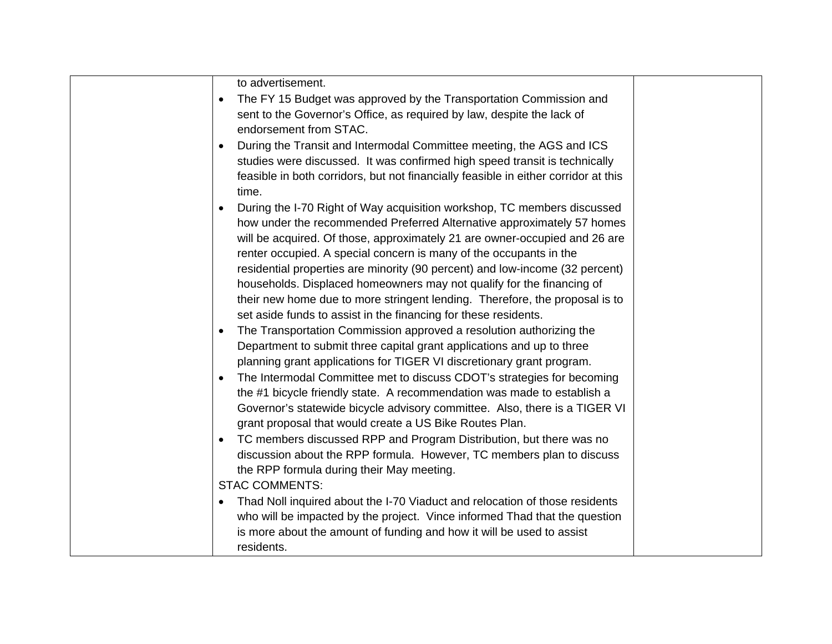| to advertisement.<br>The FY 15 Budget was approved by the Transportation Commission and<br>$\bullet$<br>sent to the Governor's Office, as required by law, despite the lack of<br>endorsement from STAC.<br>During the Transit and Intermodal Committee meeting, the AGS and ICS<br>$\bullet$<br>studies were discussed. It was confirmed high speed transit is technically<br>feasible in both corridors, but not financially feasible in either corridor at this<br>time.<br>During the I-70 Right of Way acquisition workshop, TC members discussed<br>how under the recommended Preferred Alternative approximately 57 homes<br>will be acquired. Of those, approximately 21 are owner-occupied and 26 are<br>renter occupied. A special concern is many of the occupants in the<br>residential properties are minority (90 percent) and low-income (32 percent)<br>households. Displaced homeowners may not qualify for the financing of |  |
|-----------------------------------------------------------------------------------------------------------------------------------------------------------------------------------------------------------------------------------------------------------------------------------------------------------------------------------------------------------------------------------------------------------------------------------------------------------------------------------------------------------------------------------------------------------------------------------------------------------------------------------------------------------------------------------------------------------------------------------------------------------------------------------------------------------------------------------------------------------------------------------------------------------------------------------------------|--|
| Department to submit three capital grant applications and up to three<br>planning grant applications for TIGER VI discretionary grant program.<br>The Intermodal Committee met to discuss CDOT's strategies for becoming<br>the #1 bicycle friendly state. A recommendation was made to establish a<br>Governor's statewide bicycle advisory committee. Also, there is a TIGER VI<br>grant proposal that would create a US Bike Routes Plan.<br>TC members discussed RPP and Program Distribution, but there was no<br>$\bullet$<br>discussion about the RPP formula. However, TC members plan to discuss<br>the RPP formula during their May meeting.<br><b>STAC COMMENTS:</b><br>Thad Noll inquired about the I-70 Viaduct and relocation of those residents                                                                                                                                                                                |  |
| who will be impacted by the project. Vince informed Thad that the question<br>is more about the amount of funding and how it will be used to assist<br>residents.                                                                                                                                                                                                                                                                                                                                                                                                                                                                                                                                                                                                                                                                                                                                                                             |  |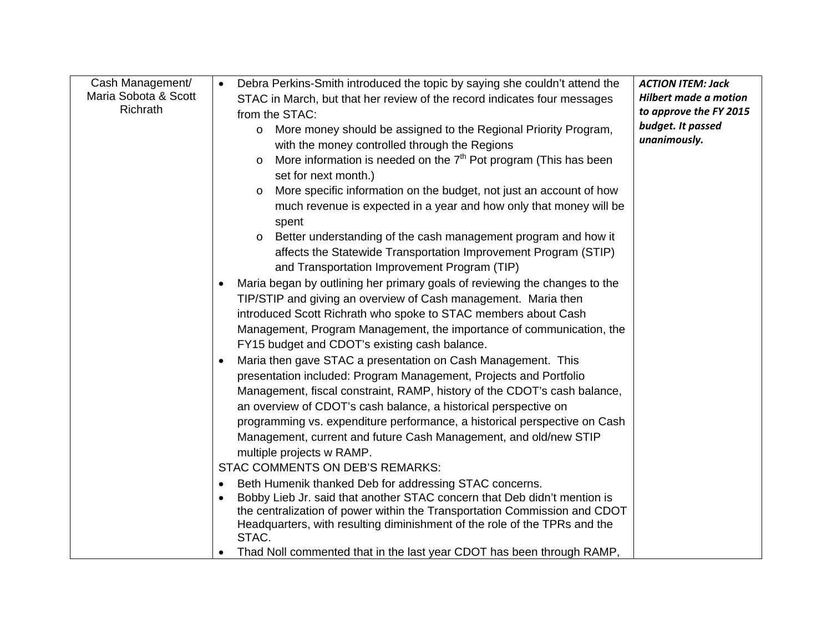| Cash Management/                 | Debra Perkins-Smith introduced the topic by saying she couldn't attend the<br>$\bullet$                                                                | <b>ACTION ITEM: Jack</b>                    |
|----------------------------------|--------------------------------------------------------------------------------------------------------------------------------------------------------|---------------------------------------------|
| Maria Sobota & Scott<br>Richrath | STAC in March, but that her review of the record indicates four messages                                                                               | <b>Hilbert made a motion</b>                |
|                                  | from the STAC:                                                                                                                                         | to approve the FY 2015<br>budget. It passed |
|                                  | More money should be assigned to the Regional Priority Program,                                                                                        | unanimously.                                |
|                                  | with the money controlled through the Regions                                                                                                          |                                             |
|                                  | More information is needed on the $7th$ Pot program (This has been                                                                                     |                                             |
|                                  | set for next month.)                                                                                                                                   |                                             |
|                                  | More specific information on the budget, not just an account of how                                                                                    |                                             |
|                                  | much revenue is expected in a year and how only that money will be<br>spent                                                                            |                                             |
|                                  | Better understanding of the cash management program and how it<br>$\circ$                                                                              |                                             |
|                                  | affects the Statewide Transportation Improvement Program (STIP)                                                                                        |                                             |
|                                  | and Transportation Improvement Program (TIP)                                                                                                           |                                             |
|                                  | Maria began by outlining her primary goals of reviewing the changes to the                                                                             |                                             |
|                                  | TIP/STIP and giving an overview of Cash management. Maria then                                                                                         |                                             |
|                                  | introduced Scott Richrath who spoke to STAC members about Cash                                                                                         |                                             |
|                                  | Management, Program Management, the importance of communication, the                                                                                   |                                             |
|                                  | FY15 budget and CDOT's existing cash balance.                                                                                                          |                                             |
|                                  | Maria then gave STAC a presentation on Cash Management. This                                                                                           |                                             |
|                                  | presentation included: Program Management, Projects and Portfolio                                                                                      |                                             |
|                                  | Management, fiscal constraint, RAMP, history of the CDOT's cash balance,                                                                               |                                             |
|                                  | an overview of CDOT's cash balance, a historical perspective on                                                                                        |                                             |
|                                  | programming vs. expenditure performance, a historical perspective on Cash                                                                              |                                             |
|                                  | Management, current and future Cash Management, and old/new STIP                                                                                       |                                             |
|                                  | multiple projects w RAMP.                                                                                                                              |                                             |
|                                  | <b>STAC COMMENTS ON DEB'S REMARKS:</b>                                                                                                                 |                                             |
|                                  | Beth Humenik thanked Deb for addressing STAC concerns.                                                                                                 |                                             |
|                                  | Bobby Lieb Jr. said that another STAC concern that Deb didn't mention is                                                                               |                                             |
|                                  | the centralization of power within the Transportation Commission and CDOT<br>Headquarters, with resulting diminishment of the role of the TPRs and the |                                             |
|                                  | STAC.                                                                                                                                                  |                                             |
|                                  | Thad Noll commented that in the last year CDOT has been through RAMP,                                                                                  |                                             |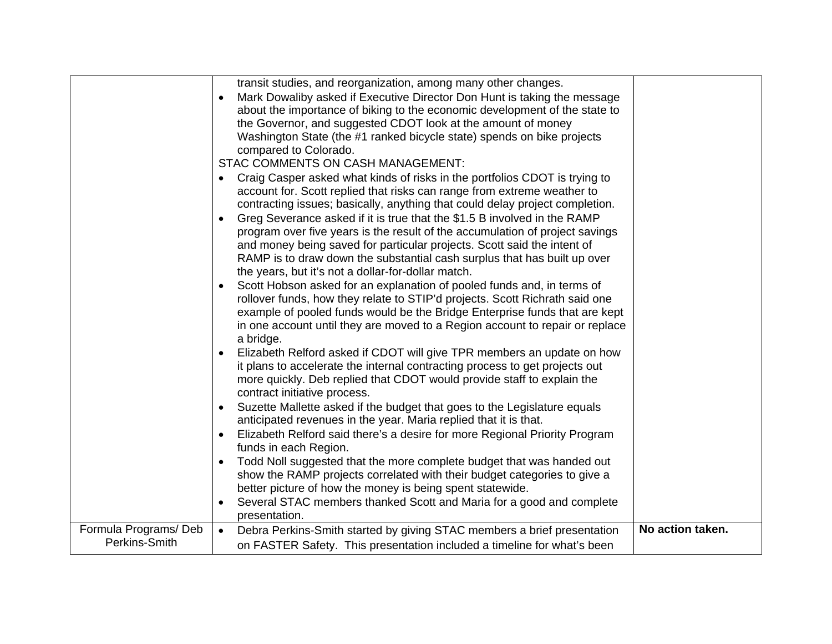|                                       | transit studies, and reorganization, among many other changes.<br>Mark Dowaliby asked if Executive Director Don Hunt is taking the message          |                  |
|---------------------------------------|-----------------------------------------------------------------------------------------------------------------------------------------------------|------------------|
|                                       | about the importance of biking to the economic development of the state to                                                                          |                  |
|                                       | the Governor, and suggested CDOT look at the amount of money                                                                                        |                  |
|                                       | Washington State (the #1 ranked bicycle state) spends on bike projects                                                                              |                  |
|                                       | compared to Colorado.                                                                                                                               |                  |
|                                       | STAC COMMENTS ON CASH MANAGEMENT:                                                                                                                   |                  |
|                                       | Craig Casper asked what kinds of risks in the portfolios CDOT is trying to                                                                          |                  |
|                                       | account for. Scott replied that risks can range from extreme weather to                                                                             |                  |
|                                       | contracting issues; basically, anything that could delay project completion.                                                                        |                  |
|                                       | Greg Severance asked if it is true that the \$1.5 B involved in the RAMP<br>$\bullet$                                                               |                  |
|                                       | program over five years is the result of the accumulation of project savings                                                                        |                  |
|                                       | and money being saved for particular projects. Scott said the intent of<br>RAMP is to draw down the substantial cash surplus that has built up over |                  |
|                                       | the years, but it's not a dollar-for-dollar match.                                                                                                  |                  |
|                                       | Scott Hobson asked for an explanation of pooled funds and, in terms of                                                                              |                  |
|                                       | rollover funds, how they relate to STIP'd projects. Scott Richrath said one                                                                         |                  |
|                                       | example of pooled funds would be the Bridge Enterprise funds that are kept                                                                          |                  |
|                                       | in one account until they are moved to a Region account to repair or replace                                                                        |                  |
|                                       | a bridge.                                                                                                                                           |                  |
|                                       | Elizabeth Relford asked if CDOT will give TPR members an update on how                                                                              |                  |
|                                       | it plans to accelerate the internal contracting process to get projects out                                                                         |                  |
|                                       | more quickly. Deb replied that CDOT would provide staff to explain the                                                                              |                  |
|                                       | contract initiative process.                                                                                                                        |                  |
|                                       | Suzette Mallette asked if the budget that goes to the Legislature equals                                                                            |                  |
|                                       | anticipated revenues in the year. Maria replied that it is that.<br>Elizabeth Relford said there's a desire for more Regional Priority Program      |                  |
|                                       | funds in each Region.                                                                                                                               |                  |
|                                       | Todd Noll suggested that the more complete budget that was handed out                                                                               |                  |
|                                       | show the RAMP projects correlated with their budget categories to give a                                                                            |                  |
|                                       | better picture of how the money is being spent statewide.                                                                                           |                  |
|                                       | Several STAC members thanked Scott and Maria for a good and complete                                                                                |                  |
|                                       | presentation.                                                                                                                                       |                  |
| Formula Programs/Deb<br>Perkins-Smith | Debra Perkins-Smith started by giving STAC members a brief presentation<br>$\bullet$                                                                | No action taken. |
|                                       | on FASTER Safety. This presentation included a timeline for what's been                                                                             |                  |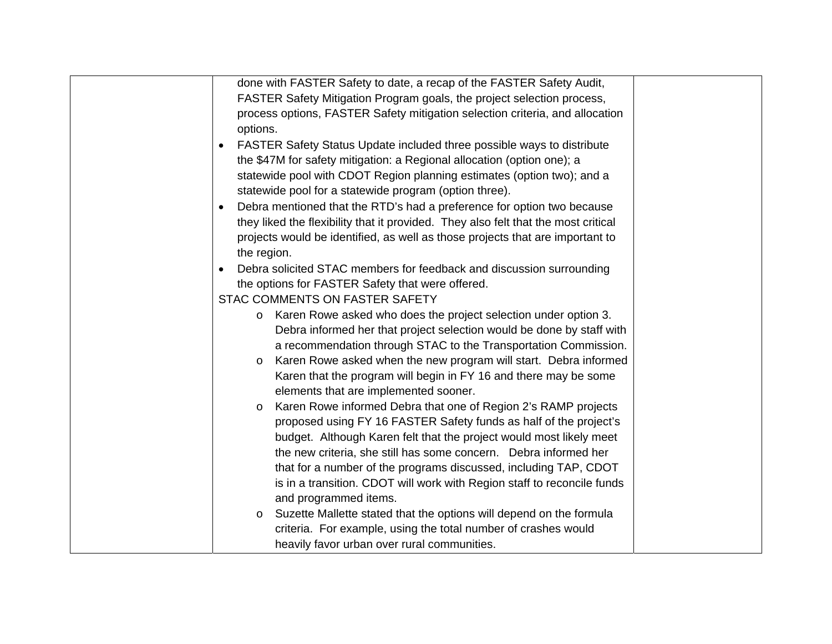| done with FASTER Safety to date, a recap of the FASTER Safety Audit,                |  |
|-------------------------------------------------------------------------------------|--|
| FASTER Safety Mitigation Program goals, the project selection process,              |  |
| process options, FASTER Safety mitigation selection criteria, and allocation        |  |
| options.                                                                            |  |
| FASTER Safety Status Update included three possible ways to distribute<br>$\bullet$ |  |
| the \$47M for safety mitigation: a Regional allocation (option one); a              |  |
| statewide pool with CDOT Region planning estimates (option two); and a              |  |
| statewide pool for a statewide program (option three).                              |  |
| Debra mentioned that the RTD's had a preference for option two because<br>$\bullet$ |  |
| they liked the flexibility that it provided. They also felt that the most critical  |  |
| projects would be identified, as well as those projects that are important to       |  |
| the region.                                                                         |  |
| Debra solicited STAC members for feedback and discussion surrounding<br>$\bullet$   |  |
| the options for FASTER Safety that were offered.                                    |  |
| STAC COMMENTS ON FASTER SAFETY                                                      |  |
| Karen Rowe asked who does the project selection under option 3.<br>$\circ$          |  |
| Debra informed her that project selection would be done by staff with               |  |
| a recommendation through STAC to the Transportation Commission.                     |  |
| Karen Rowe asked when the new program will start. Debra informed<br>$\circ$         |  |
| Karen that the program will begin in FY 16 and there may be some                    |  |
| elements that are implemented sooner.                                               |  |
| Karen Rowe informed Debra that one of Region 2's RAMP projects<br>$\circ$           |  |
| proposed using FY 16 FASTER Safety funds as half of the project's                   |  |
| budget. Although Karen felt that the project would most likely meet                 |  |
| the new criteria, she still has some concern. Debra informed her                    |  |
| that for a number of the programs discussed, including TAP, CDOT                    |  |
| is in a transition. CDOT will work with Region staff to reconcile funds             |  |
| and programmed items.                                                               |  |
| Suzette Mallette stated that the options will depend on the formula<br>$\circ$      |  |
| criteria. For example, using the total number of crashes would                      |  |
| heavily favor urban over rural communities.                                         |  |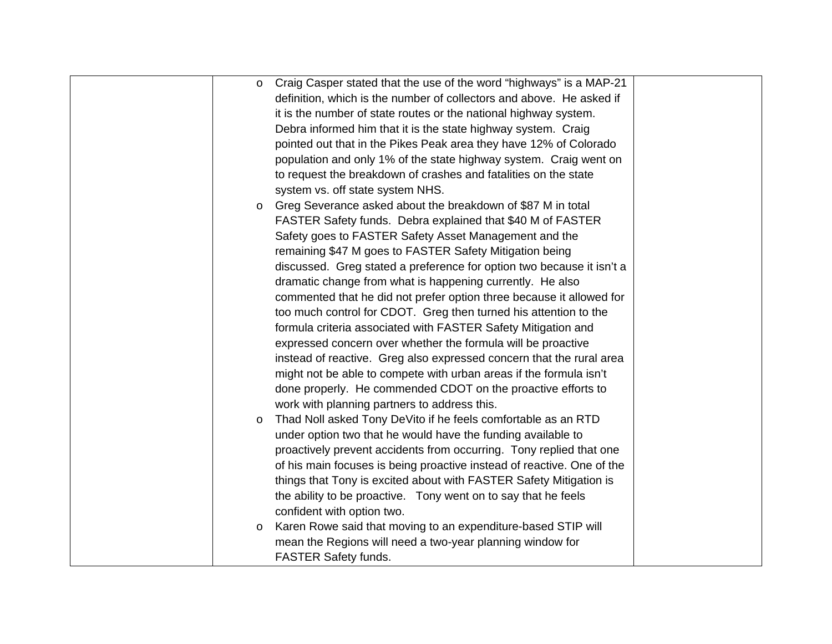| $\circ$ | Craig Casper stated that the use of the word "highways" is a MAP-21    |  |
|---------|------------------------------------------------------------------------|--|
|         | definition, which is the number of collectors and above. He asked if   |  |
|         | it is the number of state routes or the national highway system.       |  |
|         | Debra informed him that it is the state highway system. Craig          |  |
|         | pointed out that in the Pikes Peak area they have 12% of Colorado      |  |
|         | population and only 1% of the state highway system. Craig went on      |  |
|         | to request the breakdown of crashes and fatalities on the state        |  |
|         | system vs. off state system NHS.                                       |  |
| $\circ$ | Greg Severance asked about the breakdown of \$87 M in total            |  |
|         | FASTER Safety funds. Debra explained that \$40 M of FASTER             |  |
|         | Safety goes to FASTER Safety Asset Management and the                  |  |
|         | remaining \$47 M goes to FASTER Safety Mitigation being                |  |
|         | discussed. Greg stated a preference for option two because it isn't a  |  |
|         | dramatic change from what is happening currently. He also              |  |
|         | commented that he did not prefer option three because it allowed for   |  |
|         | too much control for CDOT. Greg then turned his attention to the       |  |
|         | formula criteria associated with FASTER Safety Mitigation and          |  |
|         | expressed concern over whether the formula will be proactive           |  |
|         | instead of reactive. Greg also expressed concern that the rural area   |  |
|         | might not be able to compete with urban areas if the formula isn't     |  |
|         | done properly. He commended CDOT on the proactive efforts to           |  |
|         | work with planning partners to address this.                           |  |
| $\circ$ | Thad Noll asked Tony DeVito if he feels comfortable as an RTD          |  |
|         | under option two that he would have the funding available to           |  |
|         | proactively prevent accidents from occurring. Tony replied that one    |  |
|         | of his main focuses is being proactive instead of reactive. One of the |  |
|         | things that Tony is excited about with FASTER Safety Mitigation is     |  |
|         | the ability to be proactive. Tony went on to say that he feels         |  |
|         | confident with option two.                                             |  |
| $\circ$ | Karen Rowe said that moving to an expenditure-based STIP will          |  |
|         | mean the Regions will need a two-year planning window for              |  |
|         | <b>FASTER Safety funds.</b>                                            |  |
|         |                                                                        |  |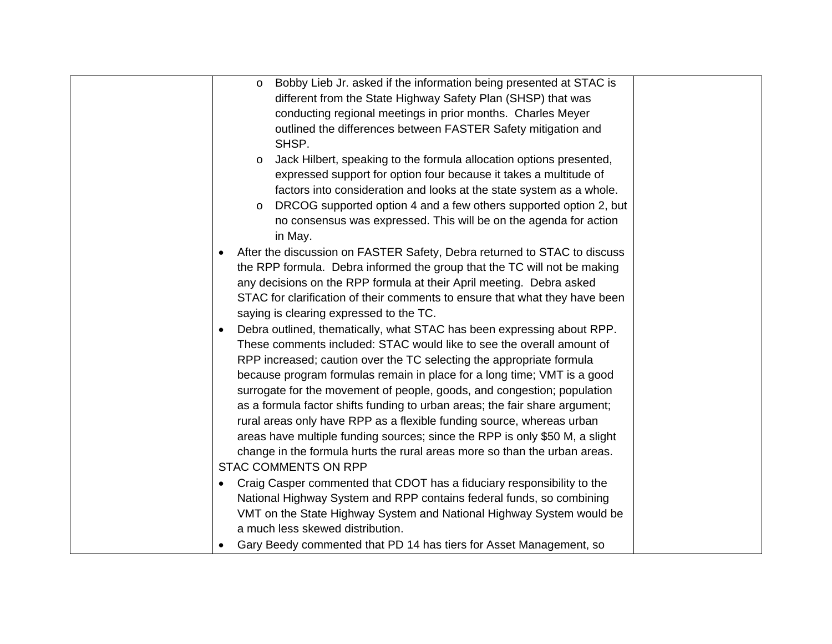| Bobby Lieb Jr. asked if the information being presented at STAC is<br>$\circ$         |  |
|---------------------------------------------------------------------------------------|--|
| different from the State Highway Safety Plan (SHSP) that was                          |  |
| conducting regional meetings in prior months. Charles Meyer                           |  |
| outlined the differences between FASTER Safety mitigation and                         |  |
| SHSP.                                                                                 |  |
| Jack Hilbert, speaking to the formula allocation options presented,<br>$\circ$        |  |
| expressed support for option four because it takes a multitude of                     |  |
| factors into consideration and looks at the state system as a whole.                  |  |
| DRCOG supported option 4 and a few others supported option 2, but<br>$\circ$          |  |
| no consensus was expressed. This will be on the agenda for action                     |  |
| in May.                                                                               |  |
| After the discussion on FASTER Safety, Debra returned to STAC to discuss<br>$\bullet$ |  |
| the RPP formula. Debra informed the group that the TC will not be making              |  |
| any decisions on the RPP formula at their April meeting. Debra asked                  |  |
| STAC for clarification of their comments to ensure that what they have been           |  |
| saying is clearing expressed to the TC.                                               |  |
| Debra outlined, thematically, what STAC has been expressing about RPP.<br>$\bullet$   |  |
| These comments included: STAC would like to see the overall amount of                 |  |
| RPP increased; caution over the TC selecting the appropriate formula                  |  |
| because program formulas remain in place for a long time; VMT is a good               |  |
| surrogate for the movement of people, goods, and congestion; population               |  |
| as a formula factor shifts funding to urban areas; the fair share argument;           |  |
| rural areas only have RPP as a flexible funding source, whereas urban                 |  |
| areas have multiple funding sources; since the RPP is only \$50 M, a slight           |  |
| change in the formula hurts the rural areas more so than the urban areas.             |  |
| <b>STAC COMMENTS ON RPP</b>                                                           |  |
| Craig Casper commented that CDOT has a fiduciary responsibility to the<br>$\bullet$   |  |
| National Highway System and RPP contains federal funds, so combining                  |  |
| VMT on the State Highway System and National Highway System would be                  |  |
| a much less skewed distribution.                                                      |  |
| Gary Beedy commented that PD 14 has tiers for Asset Management, so<br>٠               |  |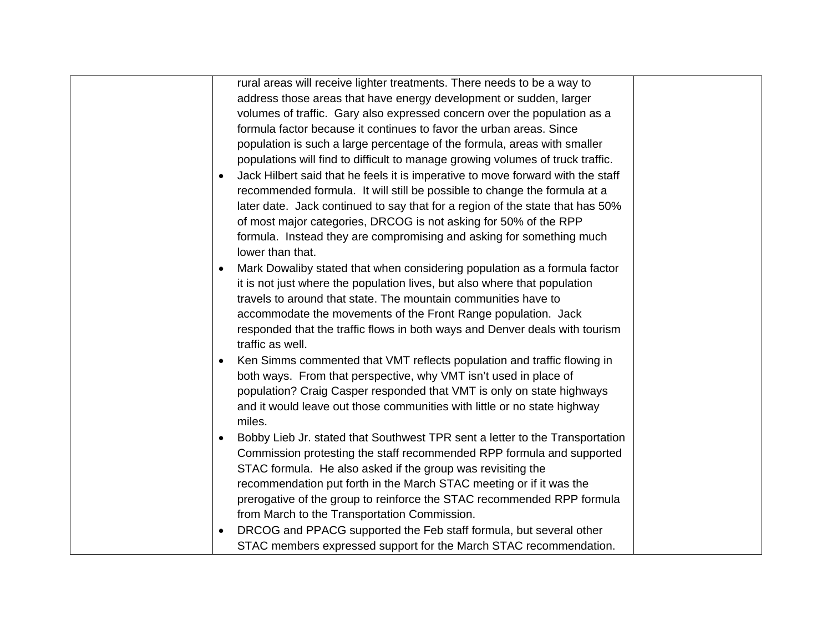| rural areas will receive lighter treatments. There needs to be a way to         |  |
|---------------------------------------------------------------------------------|--|
| address those areas that have energy development or sudden, larger              |  |
| volumes of traffic. Gary also expressed concern over the population as a        |  |
| formula factor because it continues to favor the urban areas. Since             |  |
| population is such a large percentage of the formula, areas with smaller        |  |
| populations will find to difficult to manage growing volumes of truck traffic.  |  |
| Jack Hilbert said that he feels it is imperative to move forward with the staff |  |
| recommended formula. It will still be possible to change the formula at a       |  |
| later date. Jack continued to say that for a region of the state that has 50%   |  |
| of most major categories, DRCOG is not asking for 50% of the RPP                |  |
| formula. Instead they are compromising and asking for something much            |  |
| lower than that.                                                                |  |
| Mark Dowaliby stated that when considering population as a formula factor       |  |
| it is not just where the population lives, but also where that population       |  |
| travels to around that state. The mountain communities have to                  |  |
| accommodate the movements of the Front Range population. Jack                   |  |
| responded that the traffic flows in both ways and Denver deals with tourism     |  |
| traffic as well.                                                                |  |
| Ken Simms commented that VMT reflects population and traffic flowing in         |  |
| both ways. From that perspective, why VMT isn't used in place of                |  |
| population? Craig Casper responded that VMT is only on state highways           |  |
| and it would leave out those communities with little or no state highway        |  |
| miles.                                                                          |  |
| Bobby Lieb Jr. stated that Southwest TPR sent a letter to the Transportation    |  |
| Commission protesting the staff recommended RPP formula and supported           |  |
| STAC formula. He also asked if the group was revisiting the                     |  |
| recommendation put forth in the March STAC meeting or if it was the             |  |
| prerogative of the group to reinforce the STAC recommended RPP formula          |  |
| from March to the Transportation Commission.                                    |  |
| DRCOG and PPACG supported the Feb staff formula, but several other              |  |
| STAC members expressed support for the March STAC recommendation.               |  |